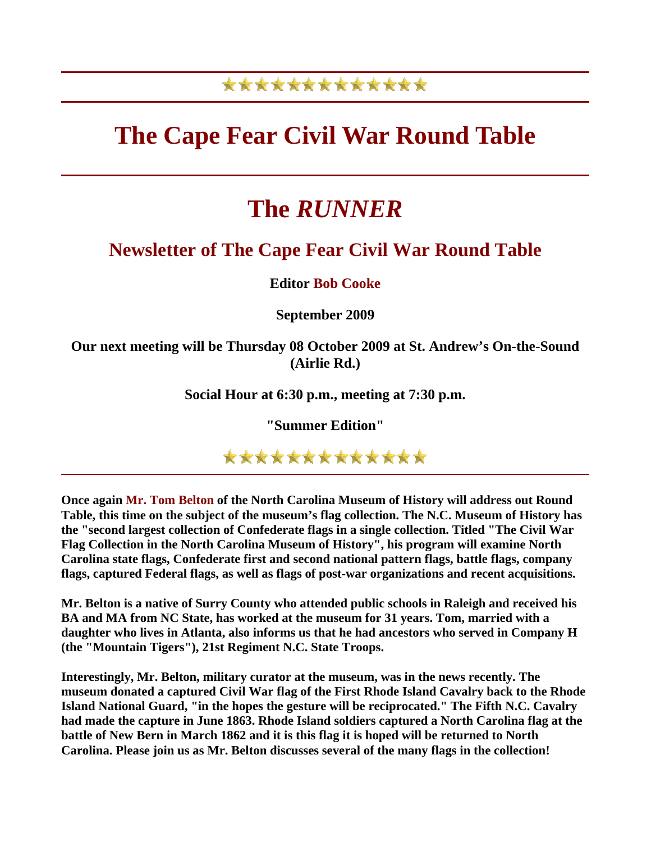### \*\*\*\*\*\*\*\*\*\*\*\*\*

## **The Cape Fear Civil War Round Table**

# **The** *RUNNER*

### **Newsletter of The Cape Fear Civil War Round Table**

**Editor Bob Cooke**

**September 2009** 

**Our next meeting will be Thursday 08 October 2009 at St. Andrew's On-the-Sound (Airlie Rd.)** 

**Social Hour at 6:30 p.m., meeting at 7:30 p.m.** 

**"Summer Edition"** 

\*\*\*\*\*\*\*\*\*\*\*\*\*

**Once again Mr. Tom Belton of the North Carolina Museum of History will address out Round Table, this time on the subject of the museum's flag collection. The N.C. Museum of History has the "second largest collection of Confederate flags in a single collection. Titled "The Civil War Flag Collection in the North Carolina Museum of History", his program will examine North Carolina state flags, Confederate first and second national pattern flags, battle flags, company flags, captured Federal flags, as well as flags of post-war organizations and recent acquisitions.**

**Mr. Belton is a native of Surry County who attended public schools in Raleigh and received his BA and MA from NC State, has worked at the museum for 31 years. Tom, married with a daughter who lives in Atlanta, also informs us that he had ancestors who served in Company H (the "Mountain Tigers"), 21st Regiment N.C. State Troops.** 

**Interestingly, Mr. Belton, military curator at the museum, was in the news recently. The museum donated a captured Civil War flag of the First Rhode Island Cavalry back to the Rhode Island National Guard, "in the hopes the gesture will be reciprocated." The Fifth N.C. Cavalry had made the capture in June 1863. Rhode Island soldiers captured a North Carolina flag at the battle of New Bern in March 1862 and it is this flag it is hoped will be returned to North Carolina. Please join us as Mr. Belton discusses several of the many flags in the collection!**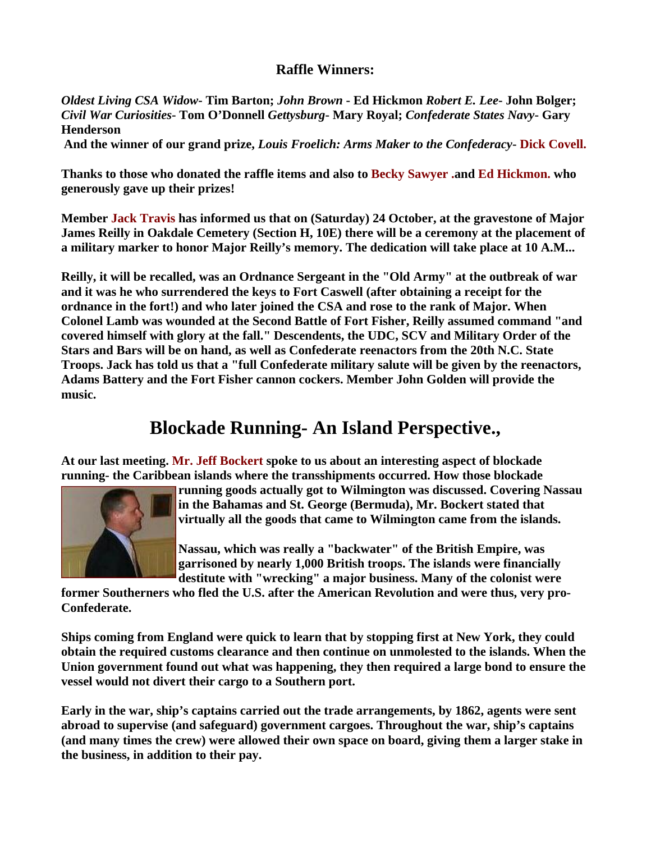#### **Raffle Winners:**

*Oldest Living CSA Widow***- Tim Barton;** *John Brown* **- Ed Hickmon** *Robert E. Lee***- John Bolger;**  *Civil War Curiosities***- Tom O'Donnell** *Gettysburg***- Mary Royal;** *Confederate States Navy***- Gary Henderson**

**And the winner of our grand prize,** *Louis Froelich: Arms Maker to the Confederacy***- Dick Covell.**

**Thanks to those who donated the raffle items and also to Becky Sawyer .and Ed Hickmon. who generously gave up their prizes!** 

**Member Jack Travis has informed us that on (Saturday) 24 October, at the gravestone of Major James Reilly in Oakdale Cemetery (Section H, 10E) there will be a ceremony at the placement of a military marker to honor Major Reilly's memory. The dedication will take place at 10 A.M...** 

**Reilly, it will be recalled, was an Ordnance Sergeant in the "Old Army" at the outbreak of war and it was he who surrendered the keys to Fort Caswell (after obtaining a receipt for the ordnance in the fort!) and who later joined the CSA and rose to the rank of Major. When Colonel Lamb was wounded at the Second Battle of Fort Fisher, Reilly assumed command "and covered himself with glory at the fall." Descendents, the UDC, SCV and Military Order of the Stars and Bars will be on hand, as well as Confederate reenactors from the 20th N.C. State Troops. Jack has told us that a "full Confederate military salute will be given by the reenactors, Adams Battery and the Fort Fisher cannon cockers. Member John Golden will provide the music.** 

### **Blockade Running- An Island Perspective.,**

**At our last meeting. Mr. Jeff Bockert spoke to us about an interesting aspect of blockade running- the Caribbean islands where the transshipments occurred. How those blockade** 



**running goods actually got to Wilmington was discussed. Covering Nassau in the Bahamas and St. George (Bermuda), Mr. Bockert stated that virtually all the goods that came to Wilmington came from the islands.** 

**Nassau, which was really a "backwater" of the British Empire, was garrisoned by nearly 1,000 British troops. The islands were financially destitute with "wrecking" a major business. Many of the colonist were** 

**former Southerners who fled the U.S. after the American Revolution and were thus, very pro-Confederate.** 

**Ships coming from England were quick to learn that by stopping first at New York, they could obtain the required customs clearance and then continue on unmolested to the islands. When the Union government found out what was happening, they then required a large bond to ensure the vessel would not divert their cargo to a Southern port.** 

**Early in the war, ship's captains carried out the trade arrangements, by 1862, agents were sent abroad to supervise (and safeguard) government cargoes. Throughout the war, ship's captains (and many times the crew) were allowed their own space on board, giving them a larger stake in the business, in addition to their pay.**